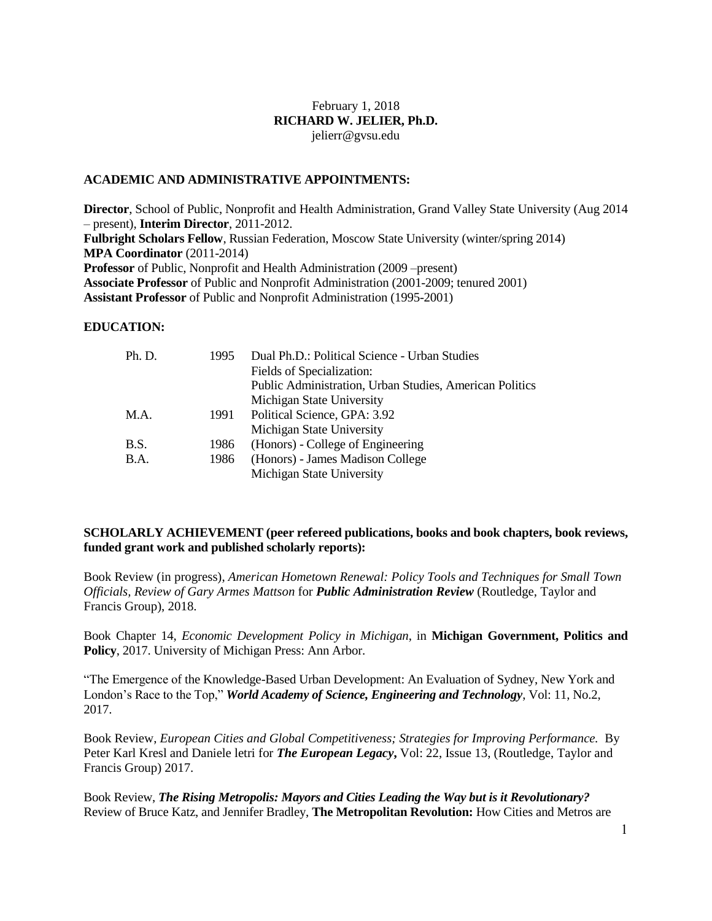# February 1, 2018 **RICHARD W. JELIER, Ph.D.** jelierr@gvsu.edu

#### **ACADEMIC AND ADMINISTRATIVE APPOINTMENTS:**

**Director**, School of Public, Nonprofit and Health Administration, Grand Valley State University (Aug 2014 – present), **Interim Director**, 2011-2012. **Fulbright Scholars Fellow**, Russian Federation, Moscow State University (winter/spring 2014) **MPA Coordinator** (2011-2014) **Professor** of Public, Nonprofit and Health Administration (2009 –present) **Associate Professor** of Public and Nonprofit Administration (2001-2009; tenured 2001) **Assistant Professor** of Public and Nonprofit Administration (1995-2001)

#### **EDUCATION:**

| Ph. D.      | 1995 | Dual Ph.D.: Political Science - Urban Studies           |
|-------------|------|---------------------------------------------------------|
|             |      | Fields of Specialization:                               |
|             |      | Public Administration, Urban Studies, American Politics |
|             |      | Michigan State University                               |
| M.A.        | 1991 | Political Science, GPA: 3.92                            |
|             |      | Michigan State University                               |
| B.S.        | 1986 | (Honors) - College of Engineering                       |
| <b>B.A.</b> | 1986 | (Honors) - James Madison College                        |
|             |      | Michigan State University                               |
|             |      |                                                         |

# **SCHOLARLY ACHIEVEMENT (peer refereed publications, books and book chapters, book reviews, funded grant work and published scholarly reports):**

Book Review (in progress), *American Hometown Renewal: Policy Tools and Techniques for Small Town Officials, Review of Gary Armes Mattson* for *Public Administration Review* (Routledge, Taylor and Francis Group), 2018.

Book Chapter 14, *Economic Development Policy in Michigan*, in **Michigan Government, Politics and Policy**, 2017. University of Michigan Press: Ann Arbor.

"The Emergence of the Knowledge-Based Urban Development: An Evaluation of Sydney, New York and London's Race to the Top," *World Academy of Science, Engineering and Technology*, Vol: 11, No.2, 2017.

Book Review, *European Cities and Global Competitiveness; Strategies for Improving Performance.* By Peter Karl Kresl and Daniele letri for *The European Legacy***,** Vol: 22, Issue 13, (Routledge, Taylor and Francis Group) 2017.

Book Review, *The Rising Metropolis: Mayors and Cities Leading the Way but is it Revolutionary?*  Review of Bruce Katz, and Jennifer Bradley, **The Metropolitan Revolution:** How Cities and Metros are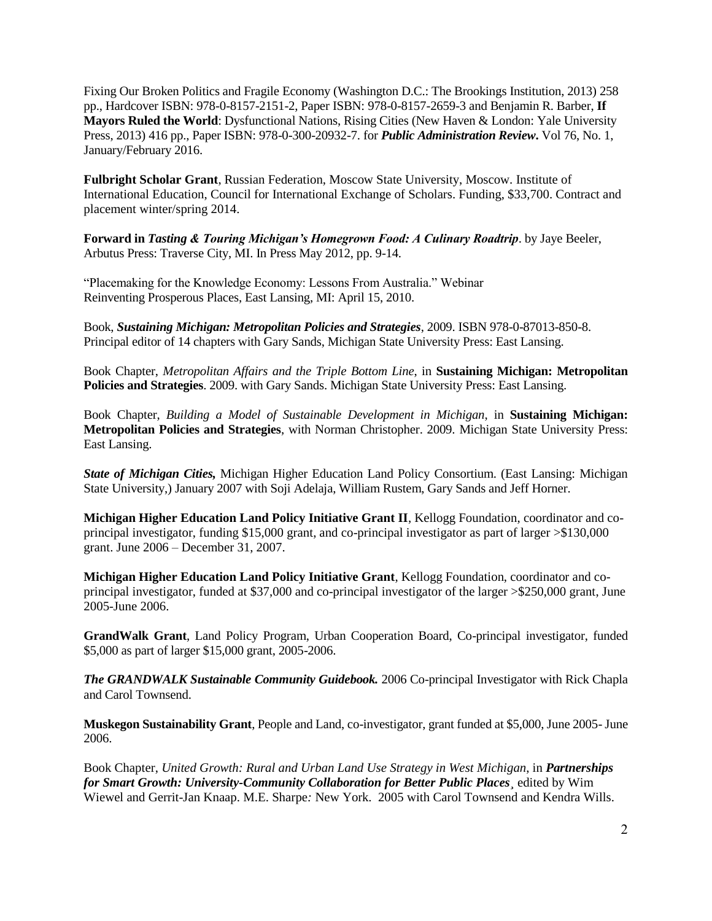Fixing Our Broken Politics and Fragile Economy (Washington D.C.: The Brookings Institution, 2013) 258 pp., Hardcover ISBN: 978-0-8157-2151-2, Paper ISBN: 978-0-8157-2659-3 and Benjamin R. Barber, **If Mayors Ruled the World**: Dysfunctional Nations, Rising Cities (New Haven & London: Yale University Press, 2013) 416 pp., Paper ISBN: 978-0-300-20932-7. for *Public Administration Review***.** Vol 76, No. 1, January/February 2016.

**Fulbright Scholar Grant**, Russian Federation, Moscow State University, Moscow. Institute of International Education, Council for International Exchange of Scholars. Funding, \$33,700. Contract and placement winter/spring 2014.

**Forward in** *Tasting & Touring Michigan's Homegrown Food: A Culinary Roadtrip*. by Jaye Beeler, Arbutus Press: Traverse City, MI. In Press May 2012, pp. 9-14.

"Placemaking for the Knowledge Economy: Lessons From Australia." Webinar Reinventing Prosperous Places, East Lansing, MI: April 15, 2010.

Book, *Sustaining Michigan: Metropolitan Policies and Strategies*, 2009. ISBN 978-0-87013-850-8. Principal editor of 14 chapters with Gary Sands, Michigan State University Press: East Lansing.

Book Chapter, *Metropolitan Affairs and the Triple Bottom Line*, in **Sustaining Michigan: Metropolitan Policies and Strategies**. 2009. with Gary Sands. Michigan State University Press: East Lansing.

Book Chapter, *Building a Model of Sustainable Development in Michigan*, in **Sustaining Michigan: Metropolitan Policies and Strategies**, with Norman Christopher. 2009. Michigan State University Press: East Lansing.

*State of Michigan Cities,* Michigan Higher Education Land Policy Consortium. (East Lansing: Michigan State University,) January 2007 with Soji Adelaja, William Rustem, Gary Sands and Jeff Horner.

**Michigan Higher Education Land Policy Initiative Grant II**, Kellogg Foundation, coordinator and coprincipal investigator, funding \$15,000 grant, and co-principal investigator as part of larger >\$130,000 grant. June 2006 – December 31, 2007.

**Michigan Higher Education Land Policy Initiative Grant**, Kellogg Foundation, coordinator and coprincipal investigator, funded at \$37,000 and co-principal investigator of the larger >\$250,000 grant, June 2005-June 2006.

**GrandWalk Grant**, Land Policy Program, Urban Cooperation Board, Co-principal investigator, funded \$5,000 as part of larger \$15,000 grant, 2005-2006.

*The GRANDWALK Sustainable Community Guidebook.* 2006 Co-principal Investigator with Rick Chapla and Carol Townsend.

**Muskegon Sustainability Grant**, People and Land, co-investigator, grant funded at \$5,000, June 2005-June 2006.

Book Chapter, *United Growth: Rural and Urban Land Use Strategy in West Michigan*, in *Partnerships for Smart Growth: University-Community Collaboration for Better Public Places¸* edited by Wim Wiewel and Gerrit-Jan Knaap. M.E. Sharpe*:* New York. 2005 with Carol Townsend and Kendra Wills.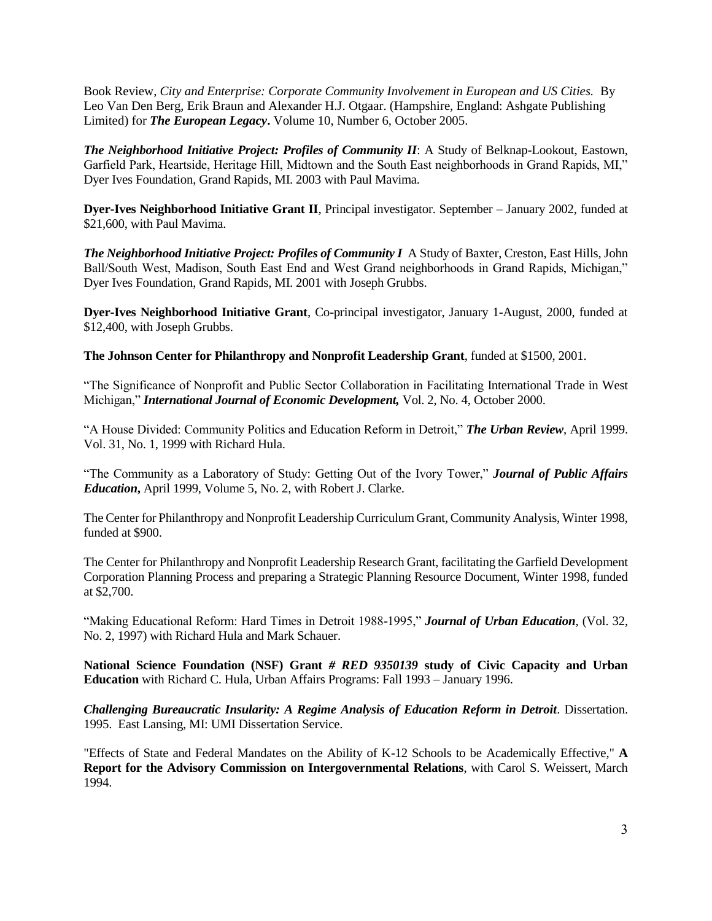Book Review, *City and Enterprise: Corporate Community Involvement in European and US Cities.* By Leo Van Den Berg, Erik Braun and Alexander H.J. Otgaar. (Hampshire, England: Ashgate Publishing Limited) for *The European Legacy***.** Volume 10, Number 6, October 2005.

*The Neighborhood Initiative Project: Profiles of Community II:* **A Study of Belknap-Lookout, Eastown,** Garfield Park, Heartside, Heritage Hill, Midtown and the South East neighborhoods in Grand Rapids, MI," Dyer Ives Foundation, Grand Rapids, MI. 2003 with Paul Mavima.

**Dyer-Ives Neighborhood Initiative Grant II**, Principal investigator. September – January 2002, funded at \$21,600, with Paul Mavima.

*The Neighborhood Initiative Project: Profiles of Community I* A Study of Baxter, Creston, East Hills, John Ball/South West, Madison, South East End and West Grand neighborhoods in Grand Rapids, Michigan," Dyer Ives Foundation, Grand Rapids, MI. 2001 with Joseph Grubbs.

**Dyer-Ives Neighborhood Initiative Grant**, Co-principal investigator, January 1-August, 2000, funded at \$12,400, with Joseph Grubbs.

**The Johnson Center for Philanthropy and Nonprofit Leadership Grant**, funded at \$1500, 2001.

"The Significance of Nonprofit and Public Sector Collaboration in Facilitating International Trade in West Michigan," *International Journal of Economic Development,* Vol. 2, No. 4, October 2000.

"A House Divided: Community Politics and Education Reform in Detroit," *The Urban Review*, April 1999. Vol. 31, No. 1, 1999 with Richard Hula.

"The Community as a Laboratory of Study: Getting Out of the Ivory Tower," *Journal of Public Affairs Education***,** April 1999, Volume 5, No. 2, with Robert J. Clarke.

The Center for Philanthropy and Nonprofit Leadership Curriculum Grant, Community Analysis, Winter 1998, funded at \$900.

The Center for Philanthropy and Nonprofit Leadership Research Grant, facilitating the Garfield Development Corporation Planning Process and preparing a Strategic Planning Resource Document, Winter 1998, funded at \$2,700.

"Making Educational Reform: Hard Times in Detroit 1988-1995," *Journal of Urban Education*, (Vol. 32, No. 2, 1997) with Richard Hula and Mark Schauer.

**National Science Foundation (NSF) Grant** *# RED 9350139* **study of Civic Capacity and Urban Education** with Richard C. Hula, Urban Affairs Programs: Fall 1993 – January 1996.

*Challenging Bureaucratic Insularity: A Regime Analysis of Education Reform in Detroit*. Dissertation. 1995. East Lansing, MI: UMI Dissertation Service.

"Effects of State and Federal Mandates on the Ability of K-12 Schools to be Academically Effective," **A Report for the Advisory Commission on Intergovernmental Relations**, with Carol S. Weissert, March 1994.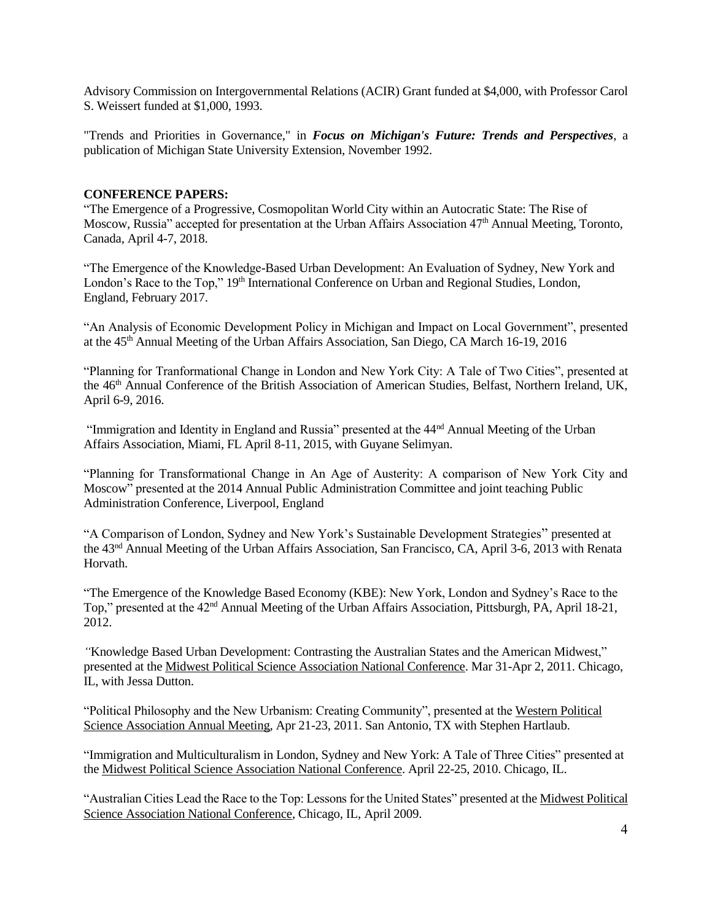Advisory Commission on Intergovernmental Relations (ACIR) Grant funded at \$4,000, with Professor Carol S. Weissert funded at \$1,000, 1993.

"Trends and Priorities in Governance," in *Focus on Michigan's Future: Trends and Perspectives*, a publication of Michigan State University Extension, November 1992.

#### **CONFERENCE PAPERS:**

"The Emergence of a Progressive, Cosmopolitan World City within an Autocratic State: The Rise of Moscow, Russia" accepted for presentation at the Urban Affairs Association 47th Annual Meeting, Toronto, Canada, April 4-7, 2018.

"The Emergence of the Knowledge-Based Urban Development: An Evaluation of Sydney, New York and London's Race to the Top," 19<sup>th</sup> International Conference on Urban and Regional Studies, London, England, February 2017.

"An Analysis of Economic Development Policy in Michigan and Impact on Local Government", presented at the 45th Annual Meeting of the Urban Affairs Association, San Diego, CA March 16-19, 2016

"Planning for Tranformational Change in London and New York City: A Tale of Two Cities", presented at the 46<sup>th</sup> Annual Conference of the British Association of American Studies, Belfast, Northern Ireland, UK, April 6-9, 2016.

"Immigration and Identity in England and Russia" presented at the 44nd Annual Meeting of the Urban Affairs Association, Miami, FL April 8-11, 2015, with Guyane Selimyan.

"Planning for Transformational Change in An Age of Austerity: A comparison of New York City and Moscow" presented at the 2014 Annual Public Administration Committee and joint teaching Public Administration Conference, Liverpool, England

"A Comparison of London, Sydney and New York's Sustainable Development Strategies" presented at the 43nd Annual Meeting of the Urban Affairs Association, San Francisco, CA, April 3-6, 2013 with Renata Horvath.

"The Emergence of the Knowledge Based Economy (KBE): New York, London and Sydney's Race to the Top," presented at the 42nd Annual Meeting of the Urban Affairs Association, Pittsburgh, PA, April 18-21, 2012.

*"*Knowledge Based Urban Development: Contrasting the Australian States and the American Midwest," presented at the Midwest Political Science Association National Conference. Mar 31-Apr 2, 2011. Chicago, IL, with Jessa Dutton.

"Political Philosophy and the New Urbanism: Creating Community", presented at the Western Political Science Association Annual Meeting, Apr 21-23, 2011. San Antonio, TX with Stephen Hartlaub.

"Immigration and Multiculturalism in London, Sydney and New York: A Tale of Three Cities" presented at the Midwest Political Science Association National Conference. April 22-25, 2010. Chicago, IL.

"Australian Cities Lead the Race to the Top: Lessons for the United States" presented at the Midwest Political Science Association National Conference, Chicago, IL, April 2009.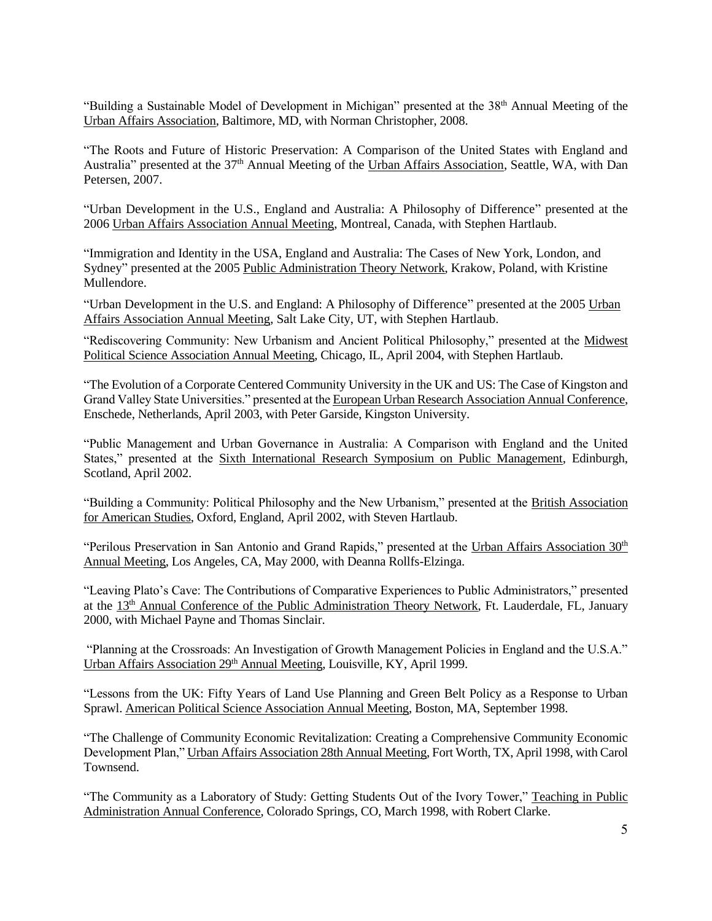"Building a Sustainable Model of Development in Michigan" presented at the 38<sup>th</sup> Annual Meeting of the Urban Affairs Association, Baltimore, MD, with Norman Christopher, 2008.

"The Roots and Future of Historic Preservation: A Comparison of the United States with England and Australia" presented at the 37<sup>th</sup> Annual Meeting of the Urban Affairs Association, Seattle, WA, with Dan Petersen, 2007.

"Urban Development in the U.S., England and Australia: A Philosophy of Difference" presented at the 2006 Urban Affairs Association Annual Meeting, Montreal, Canada, with Stephen Hartlaub.

"Immigration and Identity in the USA, England and Australia: The Cases of New York, London, and Sydney" presented at the 2005 Public Administration Theory Network, Krakow, Poland, with Kristine Mullendore.

"Urban Development in the U.S. and England: A Philosophy of Difference" presented at the 2005 Urban Affairs Association Annual Meeting, Salt Lake City, UT, with Stephen Hartlaub.

"Rediscovering Community: New Urbanism and Ancient Political Philosophy," presented at the Midwest Political Science Association Annual Meeting, Chicago, IL, April 2004, with Stephen Hartlaub.

"The Evolution of a Corporate Centered Community University in the UK and US: The Case of Kingston and Grand Valley State Universities." presented at the European Urban Research Association Annual Conference, Enschede, Netherlands, April 2003, with Peter Garside, Kingston University.

"Public Management and Urban Governance in Australia: A Comparison with England and the United States," presented at the Sixth International Research Symposium on Public Management, Edinburgh, Scotland, April 2002.

"Building a Community: Political Philosophy and the New Urbanism," presented at the British Association for American Studies, Oxford, England, April 2002, with Steven Hartlaub.

"Perilous Preservation in San Antonio and Grand Rapids," presented at the Urban Affairs Association 30<sup>th</sup> Annual Meeting, Los Angeles, CA, May 2000, with Deanna Rollfs-Elzinga.

"Leaving Plato's Cave: The Contributions of Comparative Experiences to Public Administrators," presented at the 13<sup>th</sup> Annual Conference of the Public Administration Theory Network, Ft. Lauderdale, FL, January 2000, with Michael Payne and Thomas Sinclair.

"Planning at the Crossroads: An Investigation of Growth Management Policies in England and the U.S.A." Urban Affairs Association 29<sup>th</sup> Annual Meeting, Louisville, KY, April 1999.

"Lessons from the UK: Fifty Years of Land Use Planning and Green Belt Policy as a Response to Urban Sprawl. American Political Science Association Annual Meeting, Boston, MA, September 1998.

"The Challenge of Community Economic Revitalization: Creating a Comprehensive Community Economic Development Plan," Urban Affairs Association 28th Annual Meeting, Fort Worth, TX, April 1998, with Carol Townsend.

"The Community as a Laboratory of Study: Getting Students Out of the Ivory Tower," Teaching in Public Administration Annual Conference, Colorado Springs, CO, March 1998, with Robert Clarke.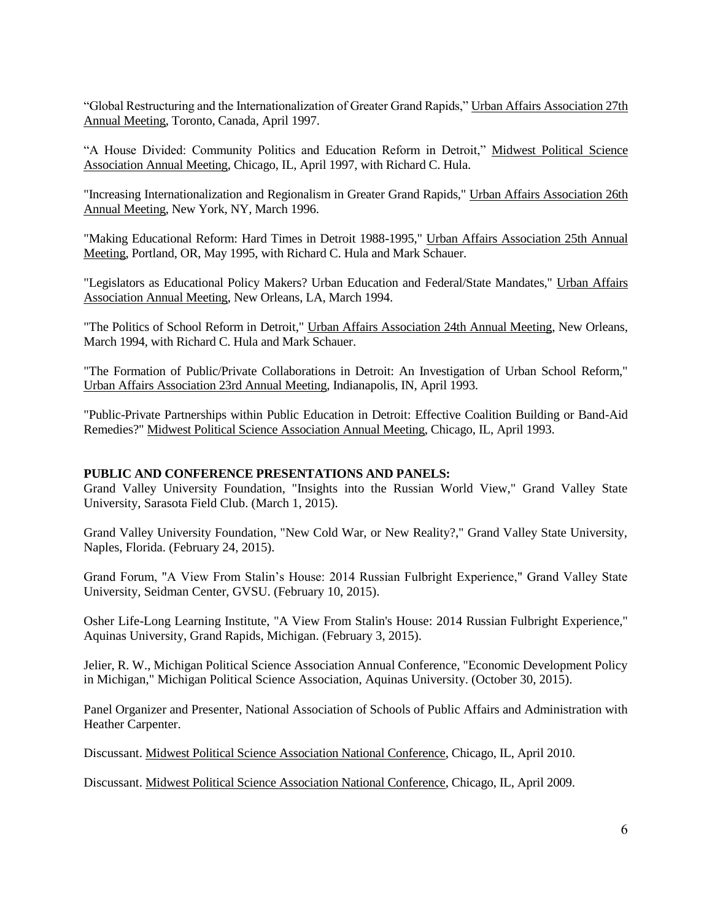"Global Restructuring and the Internationalization of Greater Grand Rapids," Urban Affairs Association 27th Annual Meeting, Toronto, Canada, April 1997.

"A House Divided: Community Politics and Education Reform in Detroit," Midwest Political Science Association Annual Meeting, Chicago, IL, April 1997, with Richard C. Hula.

"Increasing Internationalization and Regionalism in Greater Grand Rapids," Urban Affairs Association 26th Annual Meeting, New York, NY, March 1996.

"Making Educational Reform: Hard Times in Detroit 1988-1995," Urban Affairs Association 25th Annual Meeting, Portland, OR, May 1995, with Richard C. Hula and Mark Schauer.

"Legislators as Educational Policy Makers? Urban Education and Federal/State Mandates," Urban Affairs Association Annual Meeting, New Orleans, LA, March 1994.

"The Politics of School Reform in Detroit," Urban Affairs Association 24th Annual Meeting, New Orleans, March 1994, with Richard C. Hula and Mark Schauer.

"The Formation of Public/Private Collaborations in Detroit: An Investigation of Urban School Reform," Urban Affairs Association 23rd Annual Meeting, Indianapolis, IN, April 1993.

"Public-Private Partnerships within Public Education in Detroit: Effective Coalition Building or Band-Aid Remedies?" Midwest Political Science Association Annual Meeting, Chicago, IL, April 1993.

#### **PUBLIC AND CONFERENCE PRESENTATIONS AND PANELS:**

Grand Valley University Foundation, "Insights into the Russian World View," Grand Valley State University, Sarasota Field Club. (March 1, 2015).

Grand Valley University Foundation, "New Cold War, or New Reality?," Grand Valley State University, Naples, Florida. (February 24, 2015).

Grand Forum, "A View From Stalin's House: 2014 Russian Fulbright Experience," Grand Valley State University, Seidman Center, GVSU. (February 10, 2015).

Osher Life-Long Learning Institute, "A View From Stalin's House: 2014 Russian Fulbright Experience," Aquinas University, Grand Rapids, Michigan. (February 3, 2015).

Jelier, R. W., Michigan Political Science Association Annual Conference, "Economic Development Policy in Michigan," Michigan Political Science Association, Aquinas University. (October 30, 2015).

Panel Organizer and Presenter, National Association of Schools of Public Affairs and Administration with Heather Carpenter.

Discussant. Midwest Political Science Association National Conference, Chicago, IL, April 2010.

Discussant. Midwest Political Science Association National Conference, Chicago, IL, April 2009.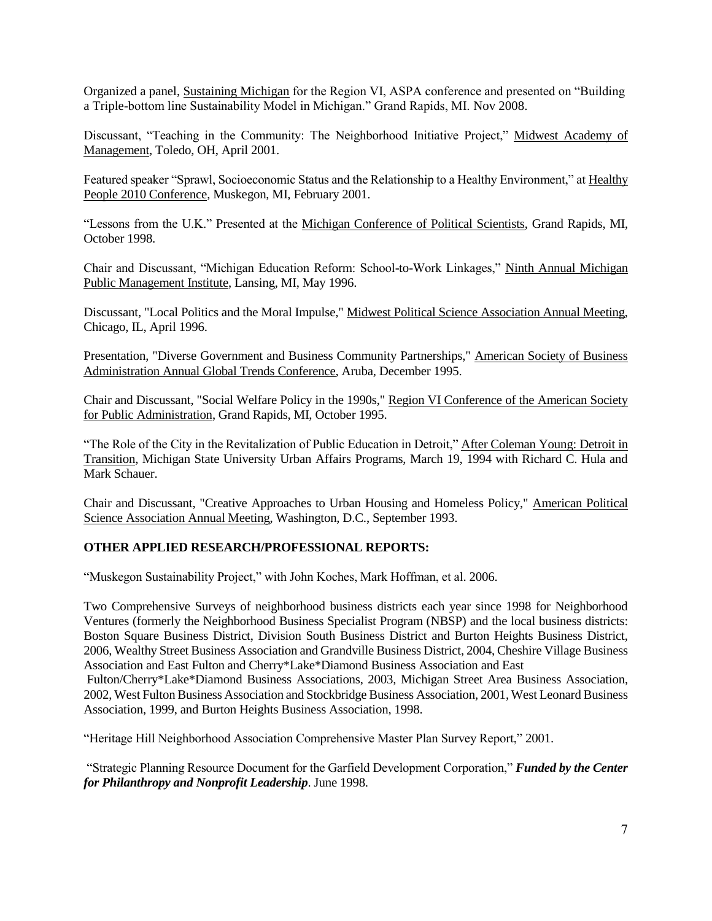Organized a panel, Sustaining Michigan for the Region VI, ASPA conference and presented on "Building a Triple-bottom line Sustainability Model in Michigan." Grand Rapids, MI. Nov 2008.

Discussant, "Teaching in the Community: The Neighborhood Initiative Project," Midwest Academy of Management, Toledo, OH, April 2001.

Featured speaker "Sprawl, Socioeconomic Status and the Relationship to a Healthy Environment," at Healthy People 2010 Conference, Muskegon, MI, February 2001.

"Lessons from the U.K." Presented at the Michigan Conference of Political Scientists, Grand Rapids, MI, October 1998.

Chair and Discussant, "Michigan Education Reform: School-to-Work Linkages," Ninth Annual Michigan Public Management Institute, Lansing, MI, May 1996.

Discussant, "Local Politics and the Moral Impulse," Midwest Political Science Association Annual Meeting, Chicago, IL, April 1996.

Presentation, "Diverse Government and Business Community Partnerships," American Society of Business Administration Annual Global Trends Conference, Aruba, December 1995.

Chair and Discussant, "Social Welfare Policy in the 1990s," Region VI Conference of the American Society for Public Administration, Grand Rapids, MI, October 1995.

"The Role of the City in the Revitalization of Public Education in Detroit," After Coleman Young: Detroit in Transition, Michigan State University Urban Affairs Programs, March 19, 1994 with Richard C. Hula and Mark Schauer.

Chair and Discussant, "Creative Approaches to Urban Housing and Homeless Policy," American Political Science Association Annual Meeting, Washington, D.C., September 1993.

# **OTHER APPLIED RESEARCH/PROFESSIONAL REPORTS:**

"Muskegon Sustainability Project," with John Koches, Mark Hoffman, et al. 2006.

Two Comprehensive Surveys of neighborhood business districts each year since 1998 for Neighborhood Ventures (formerly the Neighborhood Business Specialist Program (NBSP) and the local business districts: Boston Square Business District, Division South Business District and Burton Heights Business District, 2006, Wealthy Street Business Association and Grandville Business District, 2004, Cheshire Village Business Association and East Fulton and Cherry\*Lake\*Diamond Business Association and East

Fulton/Cherry\*Lake\*Diamond Business Associations, 2003, Michigan Street Area Business Association, 2002, West Fulton Business Association and Stockbridge Business Association, 2001, West Leonard Business Association, 1999, and Burton Heights Business Association, 1998.

"Heritage Hill Neighborhood Association Comprehensive Master Plan Survey Report," 2001.

"Strategic Planning Resource Document for the Garfield Development Corporation," *Funded by the Center for Philanthropy and Nonprofit Leadership*. June 1998.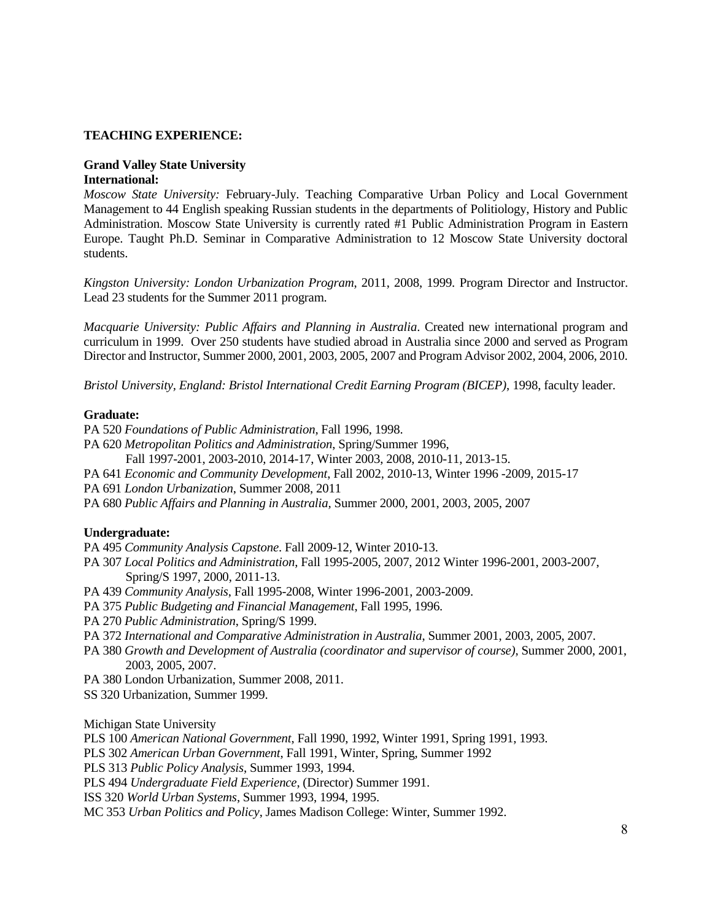#### **TEACHING EXPERIENCE:**

#### **Grand Valley State University International:**

*Moscow State University:* February-July. Teaching Comparative Urban Policy and Local Government Management to 44 English speaking Russian students in the departments of Politiology, History and Public Administration. Moscow State University is currently rated #1 Public Administration Program in Eastern Europe. Taught Ph.D. Seminar in Comparative Administration to 12 Moscow State University doctoral students.

*Kingston University: London Urbanization Program*, 2011, 2008, 1999. Program Director and Instructor. Lead 23 students for the Summer 2011 program.

*Macquarie University: Public Affairs and Planning in Australia*. Created new international program and curriculum in 1999. Over 250 students have studied abroad in Australia since 2000 and served as Program Director and Instructor, Summer 2000, 2001, 2003, 2005, 2007 and Program Advisor 2002, 2004, 2006, 2010.

*Bristol University, England: Bristol International Credit Earning Program (BICEP)*, 1998, faculty leader.

#### **Graduate:**

- PA 520 *Foundations of Public Administration*, Fall 1996, 1998.
- PA 620 *Metropolitan Politics and Administration*, Spring/Summer 1996,
	- Fall 1997-2001, 2003-2010, 2014-17, Winter 2003, 2008, 2010-11, 2013-15.
- PA 641 *Economic and Community Development*, Fall 2002, 2010-13, Winter 1996 -2009, 2015-17
- PA 691 *London Urbanization*, Summer 2008, 2011
- PA 680 *Public Affairs and Planning in Australia,* Summer 2000, 2001, 2003, 2005, 2007

# **Undergraduate:**

- PA 495 *Community Analysis Capstone*. Fall 2009-12, Winter 2010-13.
- PA 307 *Local Politics and Administration*, Fall 1995-2005, 2007, 2012 Winter 1996-2001, 2003-2007, Spring/S 1997, 2000, 2011-13.
- PA 439 *Community Analysis*, Fall 1995-2008, Winter 1996-2001, 2003-2009.
- PA 375 *Public Budgeting and Financial Management*, Fall 1995, 1996.
- PA 270 *Public Administration*, Spring/S 1999.
- PA 372 *International and Comparative Administration in Australia*, Summer 2001, 2003, 2005, 2007.
- PA 380 *Growth and Development of Australia (coordinator and supervisor of course)*, Summer 2000, 2001, 2003, 2005, 2007.
- PA 380 London Urbanization, Summer 2008, 2011.

SS 320 Urbanization*,* Summer 1999.

Michigan State University

PLS 100 *American National Government*, Fall 1990, 1992, Winter 1991, Spring 1991, 1993.

PLS 302 *American Urban Government*, Fall 1991, Winter, Spring, Summer 1992

PLS 313 *Public Policy Analysis*, Summer 1993, 1994.

PLS 494 *Undergraduate Field Experience*, (Director) Summer 1991.

ISS 320 *World Urban Systems*, Summer 1993, 1994, 1995.

MC 353 *Urban Politics and Policy*, James Madison College: Winter, Summer 1992.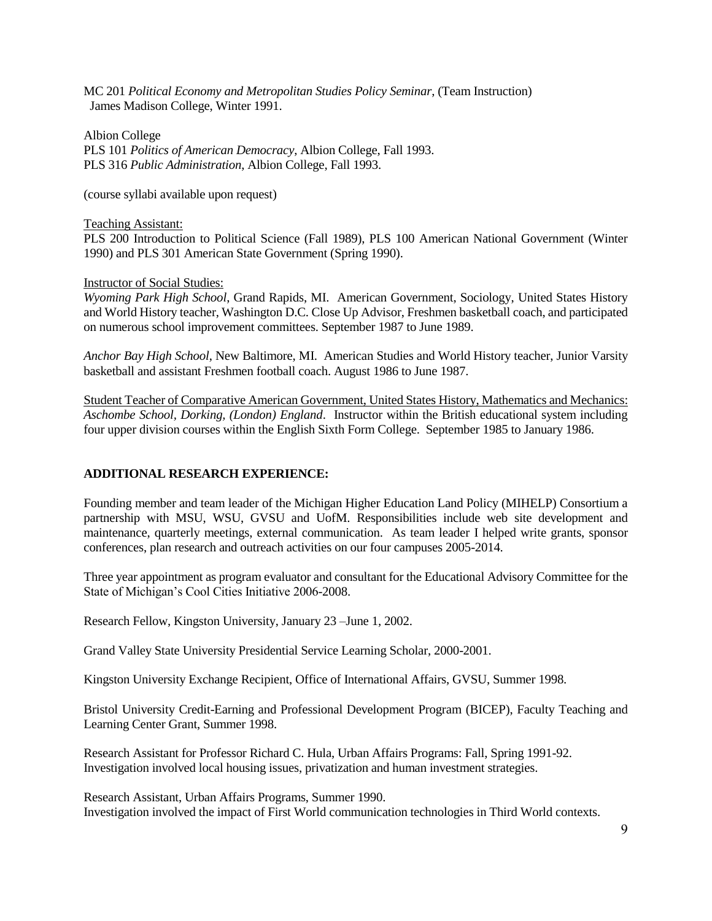MC 201 *Political Economy and Metropolitan Studies Policy Seminar*, (Team Instruction) James Madison College, Winter 1991.

Albion College PLS 101 *Politics of American Democracy*, Albion College, Fall 1993. PLS 316 *Public Administration*, Albion College, Fall 1993.

(course syllabi available upon request)

#### Teaching Assistant:

PLS 200 Introduction to Political Science (Fall 1989), PLS 100 American National Government (Winter 1990) and PLS 301 American State Government (Spring 1990).

#### Instructor of Social Studies:

*Wyoming Park High School*, Grand Rapids, MI. American Government, Sociology, United States History and World History teacher, Washington D.C. Close Up Advisor, Freshmen basketball coach, and participated on numerous school improvement committees. September 1987 to June 1989.

*Anchor Bay High School*, New Baltimore, MI. American Studies and World History teacher, Junior Varsity basketball and assistant Freshmen football coach. August 1986 to June 1987.

Student Teacher of Comparative American Government, United States History, Mathematics and Mechanics: *Aschombe School, Dorking, (London) England*. Instructor within the British educational system including four upper division courses within the English Sixth Form College. September 1985 to January 1986.

# **ADDITIONAL RESEARCH EXPERIENCE:**

Founding member and team leader of the Michigan Higher Education Land Policy (MIHELP) Consortium a partnership with MSU, WSU, GVSU and UofM. Responsibilities include web site development and maintenance, quarterly meetings, external communication. As team leader I helped write grants, sponsor conferences, plan research and outreach activities on our four campuses 2005-2014.

Three year appointment as program evaluator and consultant for the Educational Advisory Committee for the State of Michigan's Cool Cities Initiative 2006-2008.

Research Fellow, Kingston University, January 23 –June 1, 2002.

Grand Valley State University Presidential Service Learning Scholar, 2000-2001.

Kingston University Exchange Recipient, Office of International Affairs, GVSU, Summer 1998.

Bristol University Credit-Earning and Professional Development Program (BICEP), Faculty Teaching and Learning Center Grant, Summer 1998.

Research Assistant for Professor Richard C. Hula, Urban Affairs Programs: Fall, Spring 1991-92. Investigation involved local housing issues, privatization and human investment strategies.

Research Assistant, Urban Affairs Programs, Summer 1990. Investigation involved the impact of First World communication technologies in Third World contexts.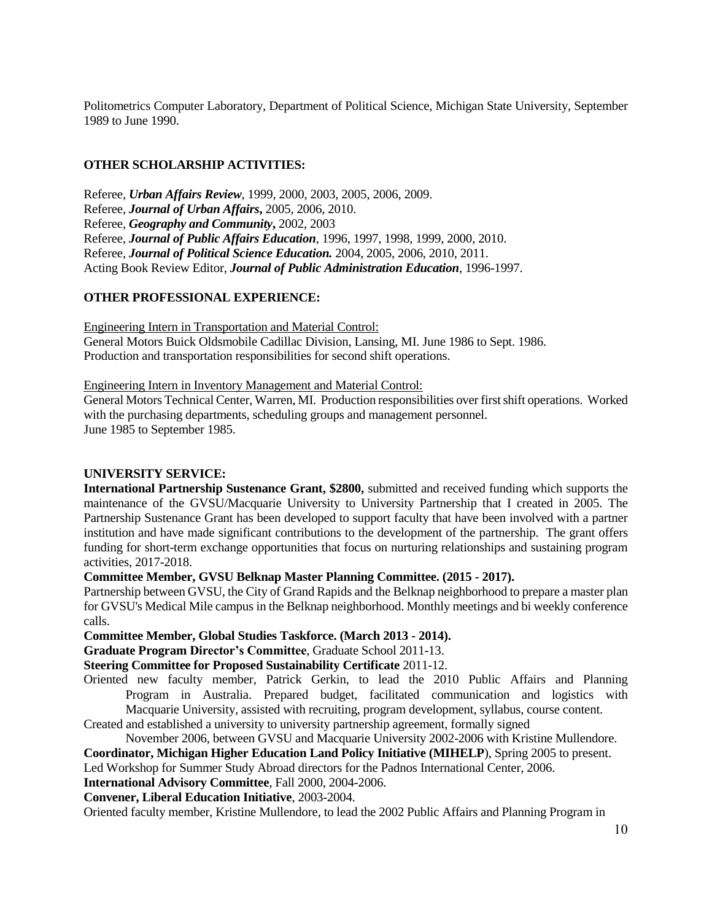Politometrics Computer Laboratory, Department of Political Science, Michigan State University, September 1989 to June 1990.

# **OTHER SCHOLARSHIP ACTIVITIES:**

Referee, *Urban Affairs Review*, 1999, 2000, 2003, 2005, 2006, 2009. Referee, *Journal of Urban Affairs***,** 2005, 2006, 2010. Referee, *Geography and Community***,** 2002, 2003 Referee, *Journal of Public Affairs Education*, 1996, 1997, 1998, 1999, 2000, 2010. Referee, *Journal of Political Science Education.* 2004, 2005, 2006, 2010, 2011. Acting Book Review Editor, *Journal of Public Administration Education*, 1996-1997.

# **OTHER PROFESSIONAL EXPERIENCE:**

Engineering Intern in Transportation and Material Control: General Motors Buick Oldsmobile Cadillac Division, Lansing, MI. June 1986 to Sept. 1986. Production and transportation responsibilities for second shift operations.

Engineering Intern in Inventory Management and Material Control:

General Motors Technical Center, Warren, MI. Production responsibilities over first shift operations. Worked with the purchasing departments, scheduling groups and management personnel. June 1985 to September 1985.

# **UNIVERSITY SERVICE:**

**International Partnership Sustenance Grant, \$2800,** submitted and received funding which supports the maintenance of the GVSU/Macquarie University to University Partnership that I created in 2005. The Partnership Sustenance Grant has been developed to support faculty that have been involved with a partner institution and have made significant contributions to the development of the partnership. The grant offers funding for short-term exchange opportunities that focus on nurturing relationships and sustaining program activities, 2017-2018.

**Committee Member, GVSU Belknap Master Planning Committee. (2015 - 2017).**

Partnership between GVSU, the City of Grand Rapids and the Belknap neighborhood to prepare a master plan for GVSU's Medical Mile campus in the Belknap neighborhood. Monthly meetings and bi weekly conference calls.

**Committee Member, Global Studies Taskforce. (March 2013 - 2014).**

**Graduate Program Director's Committee**, Graduate School 2011-13.

**Steering Committee for Proposed Sustainability Certificate** 2011-12.

Oriented new faculty member, Patrick Gerkin, to lead the 2010 Public Affairs and Planning Program in Australia. Prepared budget, facilitated communication and logistics with Macquarie University, assisted with recruiting, program development, syllabus, course content.

Created and established a university to university partnership agreement, formally signed

November 2006, between GVSU and Macquarie University 2002-2006 with Kristine Mullendore.

**Coordinator, Michigan Higher Education Land Policy Initiative (MIHELP**), Spring 2005 to present.

Led Workshop for Summer Study Abroad directors for the Padnos International Center, 2006.

**International Advisory Committee**, Fall 2000, 2004-2006.

**Convener, Liberal Education Initiative**, 2003-2004.

Oriented faculty member, Kristine Mullendore, to lead the 2002 Public Affairs and Planning Program in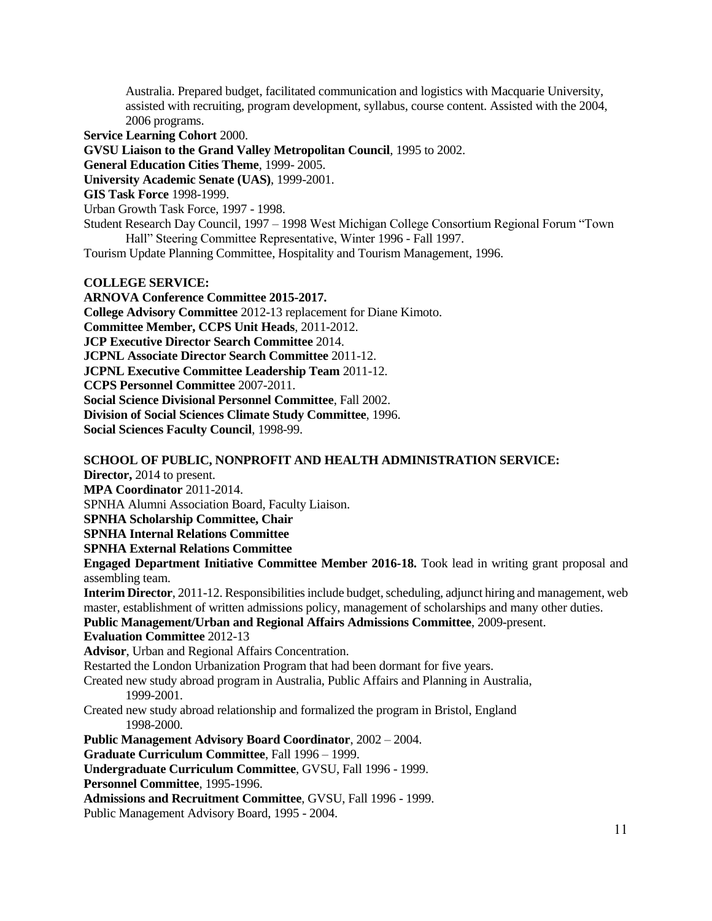Australia. Prepared budget, facilitated communication and logistics with Macquarie University, assisted with recruiting, program development, syllabus, course content. Assisted with the 2004, 2006 programs.

**Service Learning Cohort** 2000.

**GVSU Liaison to the Grand Valley Metropolitan Council**, 1995 to 2002.

**General Education Cities Theme**, 1999- 2005.

**University Academic Senate (UAS)**, 1999-2001.

**GIS Task Force** 1998-1999.

Urban Growth Task Force, 1997 - 1998.

Student Research Day Council, 1997 – 1998 West Michigan College Consortium Regional Forum "Town Hall" Steering Committee Representative, Winter 1996 - Fall 1997.

Tourism Update Planning Committee, Hospitality and Tourism Management, 1996.

### **COLLEGE SERVICE:**

**ARNOVA Conference Committee 2015-2017. College Advisory Committee** 2012-13 replacement for Diane Kimoto. **Committee Member, CCPS Unit Heads**, 2011-2012. **JCP Executive Director Search Committee** 2014. **JCPNL Associate Director Search Committee** 2011-12. **JCPNL Executive Committee Leadership Team** 2011-12. **CCPS Personnel Committee** 2007-2011. **Social Science Divisional Personnel Committee**, Fall 2002. **Division of Social Sciences Climate Study Committee**, 1996. **Social Sciences Faculty Council**, 1998-99.

**SCHOOL OF PUBLIC, NONPROFIT AND HEALTH ADMINISTRATION SERVICE:**

**Director,** 2014 to present.

**MPA Coordinator** 2011-2014.

SPNHA Alumni Association Board, Faculty Liaison.

**SPNHA Scholarship Committee, Chair**

**SPNHA Internal Relations Committee**

**SPNHA External Relations Committee**

**Engaged Department Initiative Committee Member 2016-18.** Took lead in writing grant proposal and assembling team.

**Interim Director**, 2011-12. Responsibilities include budget, scheduling, adjunct hiring and management, web master, establishment of written admissions policy, management of scholarships and many other duties.

**Public Management/Urban and Regional Affairs Admissions Committee**, 2009-present.

**Evaluation Committee** 2012-13

**Advisor**, Urban and Regional Affairs Concentration.

Restarted the London Urbanization Program that had been dormant for five years.

Created new study abroad program in Australia, Public Affairs and Planning in Australia, 1999-2001.

Created new study abroad relationship and formalized the program in Bristol, England 1998-2000.

**Public Management Advisory Board Coordinator**, 2002 – 2004.

**Graduate Curriculum Committee**, Fall 1996 – 1999.

**Undergraduate Curriculum Committee**, GVSU, Fall 1996 - 1999.

**Personnel Committee**, 1995-1996.

**Admissions and Recruitment Committee**, GVSU, Fall 1996 - 1999.

Public Management Advisory Board, 1995 - 2004.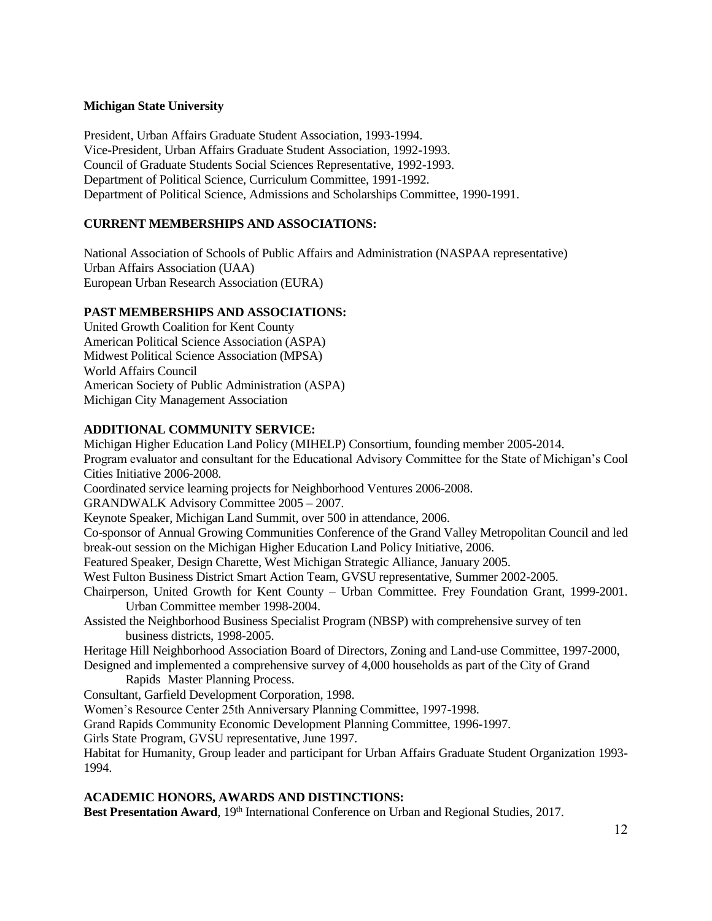# **Michigan State University**

President, Urban Affairs Graduate Student Association, 1993-1994. Vice-President, Urban Affairs Graduate Student Association, 1992-1993. Council of Graduate Students Social Sciences Representative, 1992-1993. Department of Political Science, Curriculum Committee, 1991-1992. Department of Political Science, Admissions and Scholarships Committee, 1990-1991.

# **CURRENT MEMBERSHIPS AND ASSOCIATIONS:**

National Association of Schools of Public Affairs and Administration (NASPAA representative) Urban Affairs Association (UAA) European Urban Research Association (EURA)

# **PAST MEMBERSHIPS AND ASSOCIATIONS:**

United Growth Coalition for Kent County American Political Science Association (ASPA) Midwest Political Science Association (MPSA) World Affairs Council American Society of Public Administration (ASPA) Michigan City Management Association

# **ADDITIONAL COMMUNITY SERVICE:**

Michigan Higher Education Land Policy (MIHELP) Consortium, founding member 2005-2014. Program evaluator and consultant for the Educational Advisory Committee for the State of Michigan's Cool Cities Initiative 2006-2008.

Coordinated service learning projects for Neighborhood Ventures 2006-2008.

GRANDWALK Advisory Committee 2005 – 2007.

Keynote Speaker, Michigan Land Summit, over 500 in attendance, 2006.

Co-sponsor of Annual Growing Communities Conference of the Grand Valley Metropolitan Council and led break-out session on the Michigan Higher Education Land Policy Initiative, 2006.

Featured Speaker, Design Charette, West Michigan Strategic Alliance, January 2005.

West Fulton Business District Smart Action Team, GVSU representative, Summer 2002-2005.

Chairperson, United Growth for Kent County – Urban Committee. Frey Foundation Grant, 1999-2001. Urban Committee member 1998-2004.

Assisted the Neighborhood Business Specialist Program (NBSP) with comprehensive survey of ten business districts, 1998-2005.

Heritage Hill Neighborhood Association Board of Directors, Zoning and Land-use Committee, 1997-2000,

Designed and implemented a comprehensive survey of 4,000 households as part of the City of Grand Rapids Master Planning Process.

Consultant, Garfield Development Corporation, 1998.

Women's Resource Center 25th Anniversary Planning Committee, 1997-1998.

Grand Rapids Community Economic Development Planning Committee, 1996-1997.

Girls State Program, GVSU representative, June 1997.

Habitat for Humanity, Group leader and participant for Urban Affairs Graduate Student Organization 1993- 1994.

# **ACADEMIC HONORS, AWARDS AND DISTINCTIONS:**

Best Presentation Award, 19<sup>th</sup> International Conference on Urban and Regional Studies, 2017.